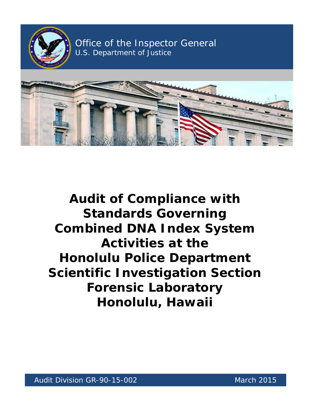

Office of the Inspector General U.S. Department of Justice ector General Andrew



# **Activities at the Audit of Compliance with Standards Governing Combined DNA Index System Honolulu Police Department Scientific Investigation Section Forensic Laboratory Honolulu, Hawaii**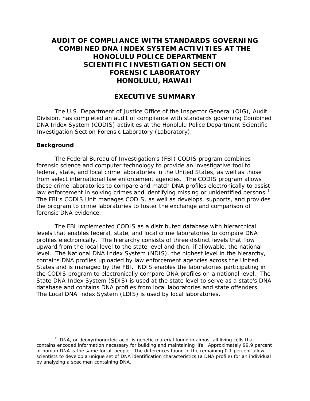## **COMBINED DNA INDEX SYSTEM ACTIVITIES AT THE HONOLULU, HAWAII AUDIT OF COMPLIANCE WITH STANDARDS GOVERNING HONOLULU POLICE DEPARTMENT SCIENTIFIC INVESTIGATION SECTION FORENSIC LABORATORY**

### **EXECUTIVE SUMMARY**

The U.S. Department of Justice Office of the Inspector General (OIG), Audit Division, has completed an audit of compliance with standards governing Combined DNA Index System (CODIS) activities at the Honolulu Police Department Scientific Investigation Section Forensic Laboratory (Laboratory).

#### **Background**

 $\overline{a}$ 

 from select international law enforcement agencies. The CODIS program allows law enforcement in solving crimes and identifying missing or unidentified persons.<sup>1</sup> The Federal Bureau of Investigation's (FBI) CODIS program combines forensic science and computer technology to provide an investigative tool to federal, state, and local crime laboratories in the United States, as well as those these crime laboratories to compare and match DNA profiles electronically to assist The FBI's CODIS Unit manages CODIS, as well as develops, supports, and provides the program to crime laboratories to foster the exchange and comparison of forensic DNA evidence.

 upward from the local level to the state level and then, if allowable, the national level. The National DNA Index System (NDIS), the highest level in the hierarchy, States and is managed by the FBI. NDIS enables the laboratories participating in database and contains DNA profiles from local laboratories and state offenders. The Local DNA Index System (LDIS) is used by local laboratories. The FBI implemented CODIS as a distributed database with hierarchical levels that enables federal, state, and local crime laboratories to compare DNA profiles electronically. The hierarchy consists of three distinct levels that flow contains DNA profiles uploaded by law enforcement agencies across the United the CODIS program to electronically compare DNA profiles on a national level. The State DNA Index System (SDIS) is used at the state level to serve as a state's DNA

<span id="page-1-0"></span> $<sup>1</sup>$  DNA, or deoxyribonucleic acid, is genetic material found in almost all living cells that</sup> contains encoded information necessary for building and maintaining life. Approximately 99.9 percent of human DNA is the same for all people. The differences found in the remaining 0.1 percent allow scientists to develop a unique set of DNA identification characteristics (a DNA profile) for an individual by analyzing a specimen containing DNA.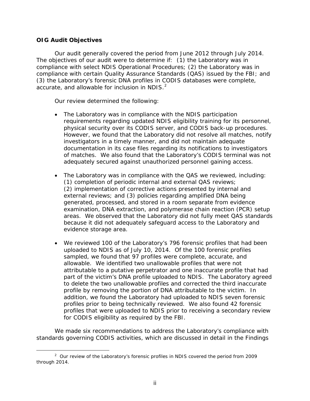#### **OIG Audit Objectives**

Our audit generally covered the period from June 2012 through July 2014. The objectives of our audit were to determine if: (1) the Laboratory was in compliance with select NDIS Operational Procedures; (2) the Laboratory was in compliance with certain Quality Assurance Standards (QAS) issued by the FBI; and (3) the Laboratory's forensic DNA profiles in CODIS databases were complete, accurate, and allowable for inclusion in NDIS. $<sup>2</sup>$  $<sup>2</sup>$  $<sup>2</sup>$ </sup>

Our review determined the following:

- documentation in its case files regarding its notifications to investigators • The Laboratory was in compliance with the NDIS participation requirements regarding updated NDIS eligibility training for its personnel, physical security over its CODIS server, and CODIS back-up procedures. However, we found that the Laboratory did not resolve all matches, notify investigators in a timely manner, and did not maintain adequate of matches. We also found that the Laboratory's CODIS terminal was not adequately secured against unauthorized personnel gaining access.
- The Laboratory was in compliance with the QAS we reviewed, including: (1) completion of periodic internal and external QAS reviews; (2) implementation of corrective actions presented by internal and external reviews; and (3) policies regarding amplified DNA being generated, processed, and stored in a room separate from evidence examination, DNA extraction, and polymerase chain reaction (PCR) setup areas. We observed that the Laboratory did not fully meet QAS standards because it did not adequately safeguard access to the Laboratory and evidence storage area.
- uploaded to NDIS as of July 10, 2014. Of the 100 forensic profiles sampled, we found that 97 profiles were complete, accurate, and • We reviewed 100 of the Laboratory's 796 forensic profiles that had been allowable. We identified two unallowable profiles that were not attributable to a putative perpetrator and one inaccurate profile that had part of the victim's DNA profile uploaded to NDIS. The Laboratory agreed to delete the two unallowable profiles and corrected the third inaccurate profile by removing the portion of DNA attributable to the victim. In addition, we found the Laboratory had uploaded to NDIS seven forensic profiles prior to being technically reviewed. We also found 42 forensic profiles that were uploaded to NDIS prior to receiving a secondary review for CODIS eligibility as required by the FBI.

We made six recommendations to address the Laboratory's compliance with standards governing CODIS activities, which are discussed in detail in the Findings

<span id="page-2-0"></span> $\overline{a}$ <sup>2</sup> Our review of the Laboratory's forensic profiles in NDIS covered the period from 2009 through 2014.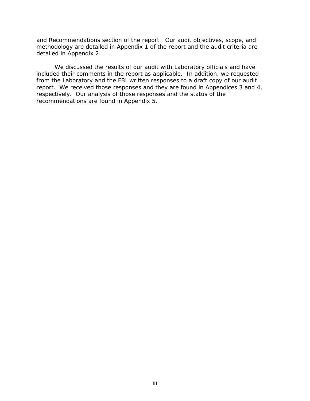methodology are detailed in Appendix 1 of the report and the audit criteria are detailed in Appendix 2. and Recommendations section of the report. Our audit objectives, scope, and

 included their comments in the report as applicable. In addition, we requested We discussed the results of our audit with Laboratory officials and have from the Laboratory and the FBI written responses to a draft copy of our audit report. We received those responses and they are found in Appendices 3 and 4, respectively. Our analysis of those responses and the status of the recommendations are found in Appendix 5.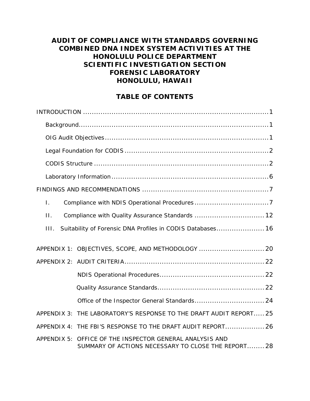## **AUDIT OF COMPLIANCE WITH STANDARDS GOVERNING COMBINED DNA INDEX SYSTEM ACTIVITIES AT THE HONOLULU POLICE DEPARTMENT SCIENTIFIC INVESTIGATION SECTION FORENSIC LABORATORY HONOLULU, HAWAII**

## **TABLE OF CONTENTS**

| $\mathbf{L}$ |                                                                                                                |
|--------------|----------------------------------------------------------------------------------------------------------------|
| $\Pi$ .      |                                                                                                                |
| III.         | Suitability of Forensic DNA Profiles in CODIS Databases 16                                                     |
|              | APPENDIX 1: OBJECTIVES, SCOPE, AND METHODOLOGY  20                                                             |
|              |                                                                                                                |
|              |                                                                                                                |
|              |                                                                                                                |
|              |                                                                                                                |
|              | APPENDIX 3: THE LABORATORY'S RESPONSE TO THE DRAFT AUDIT REPORT 25                                             |
|              | APPENDIX 4: THE FBI'S RESPONSE TO THE DRAFT AUDIT REPORT 26                                                    |
|              | APPENDIX 5: OFFICE OF THE INSPECTOR GENERAL ANALYSIS AND<br>SUMMARY OF ACTIONS NECESSARY TO CLOSE THE REPORT28 |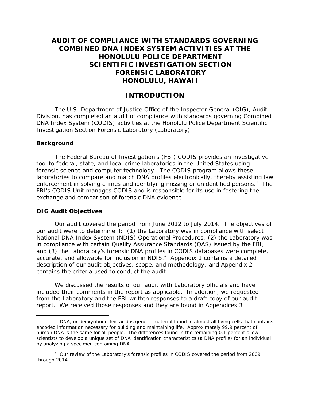## **AUDIT OF COMPLIANCE WITH STANDARDS GOVERNING COMBINED DNA INDEX SYSTEM ACTIVITIES AT THE HONOLULU POLICE DEPARTMENT SCIENTIFIC INVESTIGATION SECTION FORENSIC LABORATORY HONOLULU, HAWAII**

### **INTRODUCTION**

<span id="page-5-0"></span>The U.S. Department of Justice Office of the Inspector General (OIG), Audit Division, has completed an audit of compliance with standards governing Combined DNA Index System (CODIS) activities at the Honolulu Police Department Scientific Investigation Section Forensic Laboratory (Laboratory).

#### <span id="page-5-1"></span>**Background**

 $\overline{a}$ 

 forensic science and computer technology. The CODIS program allows these enforcement in solving crimes and identifying missing or unidentified persons.<sup>[3](#page-5-3)</sup> The The Federal Bureau of Investigation's (FBI) CODIS provides an investigative tool to federal, state, and local crime laboratories in the United States using laboratories to compare and match DNA profiles electronically, thereby assisting law FBI's CODIS Unit manages CODIS and is responsible for its use in fostering the exchange and comparison of forensic DNA evidence.

#### <span id="page-5-2"></span>**OIG Audit Objectives**

accurate, and allowable for inclusion in NDIS. $4$  Appendix 1 contains a detailed Our audit covered the period from June 2012 to July 2014. The objectives of our audit were to determine if: (1) the Laboratory was in compliance with select National DNA Index System (NDIS) Operational Procedures; (2) the Laboratory was in compliance with certain Quality Assurance Standards (QAS) issued by the FBI; and (3) the Laboratory's forensic DNA profiles in CODIS databases were complete, description of our audit objectives, scope, and methodology; and Appendix 2 contains the criteria used to conduct the audit.

 included their comments in the report as applicable. In addition, we requested We discussed the results of our audit with Laboratory officials and have from the Laboratory and the FBI written responses to a draft copy of our audit report. We received those responses and they are found in Appendices 3

<span id="page-5-3"></span><sup>&</sup>lt;sup>3</sup> DNA, or deoxyribonucleic acid is genetic material found in almost all living cells that contains encoded information necessary for building and maintaining life. Approximately 99.9 percent of human DNA is the same for all people. The differences found in the remaining 0.1 percent allow scientists to develop a unique set of DNA identification characteristics (a DNA profile) for an individual by analyzing a specimen containing DNA.

<span id="page-5-4"></span><sup>&</sup>lt;sup>4</sup> Our review of the Laboratory's forensic profiles in CODIS covered the period from 2009 through 2014.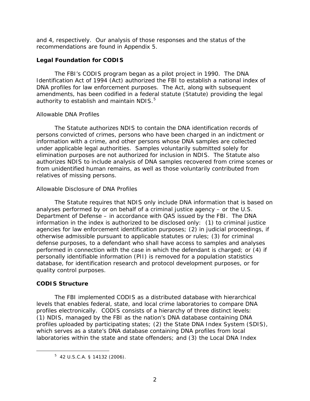and 4, respectively. Our analysis of those responses and the status of the recommendations are found in Appendix 5.

#### <span id="page-6-0"></span>**Legal Foundation for CODIS**

 The FBI's CODIS program began as a pilot project in 1990. The DNA Identification Act of 1994 (Act) authorized the FBI to establish a national index of amendments, has been codified in a federal statute (Statute) providing the legal DNA profiles for law enforcement purposes. The Act, along with subsequent authority to establish and maintain NDIS. $5$ 

#### *Allowable DNA Profiles*

The Statute authorizes NDIS to contain the DNA identification records of persons convicted of crimes, persons who have been charged in an indictment or information with a crime, and other persons whose DNA samples are collected under applicable legal authorities. Samples voluntarily submitted solely for elimination purposes are not authorized for inclusion in NDIS. The Statute also authorizes NDIS to include analysis of DNA samples recovered from crime scenes or from unidentified human remains, as well as those voluntarily contributed from relatives of missing persons.

#### *Allowable Disclosure of DNA Profiles*

 agencies for law enforcement identification purposes; (2) in judicial proceedings, if The Statute requires that NDIS only include DNA information that is based on analyses performed by or on behalf of a criminal justice agency – or the U.S. Department of Defense – in accordance with QAS issued by the FBI. The DNA information in the index is authorized to be disclosed only: (1) to criminal justice otherwise admissible pursuant to applicable statutes or rules; (3) for criminal defense purposes, to a defendant who shall have access to samples and analyses performed in connection with the case in which the defendant is charged; or (4) if personally identifiable information (PII) is removed for a population statistics database, for identification research and protocol development purposes, or for quality control purposes.

#### <span id="page-6-1"></span>**CODIS Structure**

<span id="page-6-2"></span> $\overline{a}$ 

 profiles electronically. CODIS consists of a hierarchy of three distinct levels: which serves as a state's DNA database containing DNA profiles from local The FBI implemented CODIS as a distributed database with hierarchical levels that enables federal, state, and local crime laboratories to compare DNA (1) NDIS, managed by the FBI as the nation's DNA database containing DNA profiles uploaded by participating states; (2) the State DNA Index System (SDIS), laboratories within the state and state offenders; and (3) the Local DNA Index

<sup>5 42</sup> U.S.C.A. § 14132 (2006).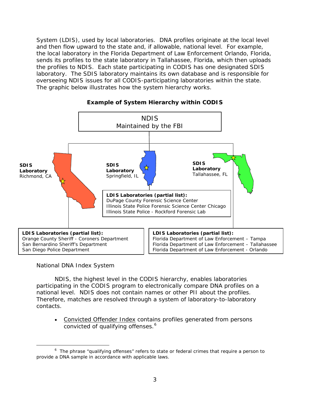System (LDIS), used by local laboratories. DNA profiles originate at the local level and then flow upward to the state and, if allowable, national level. For example, the local laboratory in the Florida Department of Law Enforcement Orlando, Florida, overseeing NDIS issues for all CODIS-participating laboratories within the state.<br>The graphic below illustrates how the system hierarchy works. sends its profiles to the state laboratory in Tallahassee, Florida, which then uploads the profiles to NDIS. Each state participating in CODIS has one designated SDIS laboratory. The SDIS laboratory maintains its own database and is responsible for



#### **Example of System Hierarchy within CODIS**

#### *National DNA Index System*

 national level. NDIS does not contain names or other PII about the profiles. NDIS, the highest level in the CODIS hierarchy, enables laboratories participating in the CODIS program to electronically compare DNA profiles on a Therefore, matches are resolved through a system of laboratory-to-laboratory contacts.

• Convicted Offender Index contains profiles generated from persons convicted of qualifying offenses.<sup>[6](#page-7-0)</sup>

<span id="page-7-0"></span> $\overline{a}$  $6$  The phrase "qualifying offenses" refers to state or federal crimes that require a person to provide a DNA sample in accordance with applicable laws.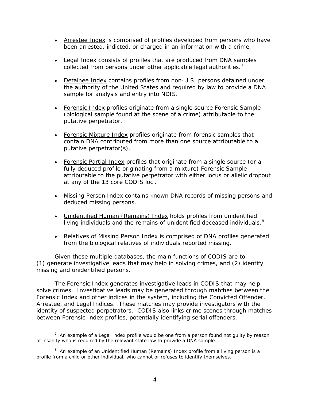- Arrestee Index is comprised of profiles developed from persons who have been arrested, indicted, or charged in an information with a crime.
- Legal Index consists of profiles that are produced from DNA samples collected from persons under other applicable legal authorities.<sup>7</sup>
- Detainee Index contains profiles from non-U.S. persons detained under the authority of the United States and required by law to provide a DNA sample for analysis and entry into NDIS.
- Forensic Index profiles originate from a single source Forensic Sample (biological sample found at the scene of a crime) attributable to the putative perpetrator.
- Forensic Mixture Index profiles originate from forensic samples that contain DNA contributed from more than one source attributable to a putative perpetrator(s).
- Forensic Partial Index profiles that originate from a single source (or a fully deduced profile originating from a mixture) Forensic Sample attributable to the putative perpetrator with either locus or allelic dropout at any of the 13 core CODIS loci.
- Missing Person Index contains known DNA records of missing persons and deduced missing persons.
- Unidentified Human (Remains) Index holds profiles from unidentified living individuals and the remains of unidentified deceased individuals. $8$
- Relatives of Missing Person Index is comprised of DNA profiles generated from the biological relatives of individuals reported missing.

 (1) generate investigative leads that may help in solving crimes, and (2) identify Given these multiple databases, the main functions of CODIS are to: missing and unidentified persons.

 solve crimes. Investigative leads may be generated through matches between the The Forensic Index generates investigative leads in CODIS that may help Forensic Index and other indices in the system, including the Convicted Offender, Arrestee, and Legal Indices. These matches may provide investigators with the identity of suspected perpetrators. CODIS also links crime scenes through matches between Forensic Index profiles, potentially identifying serial offenders.

<span id="page-8-0"></span>l  $7$  An example of a Legal Index profile would be one from a person found not quilty by reason of insanity who is required by the relevant state law to provide a DNA sample.

<span id="page-8-1"></span> $8$  An example of an Unidentified Human (Remains) Index profile from a living person is a profile from a child or other individual, who cannot or refuses to identify themselves.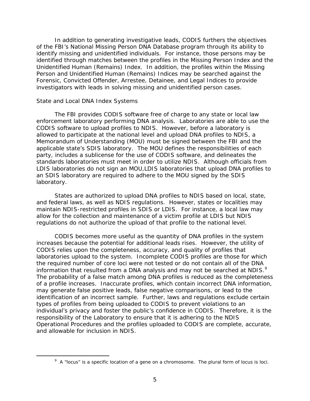of the FBI's National Missing Person DNA Database program through its ability to In addition to generating investigative leads, CODIS furthers the objectives identify missing and unidentified individuals. For instance, those persons may be identified through matches between the profiles in the Missing Person Index and the Unidentified Human (Remains) Index. In addition, the profiles within the Missing Person and Unidentified Human (Remains) Indices may be searched against the Forensic, Convicted Offender, Arrestee, Detainee, and Legal Indices to provide investigators with leads in solving missing and unidentified person cases.

#### *State and Local DNA Index Systems*

<span id="page-9-0"></span>l

 CODIS software to upload profiles to NDIS. However, before a laboratory is allowed to participate at the national level and upload DNA profiles to NDIS, a an SDIS laboratory are required to adhere to the MOU signed by the SDIS The FBI provides CODIS software free of charge to any state or local law enforcement laboratory performing DNA analysis. Laboratories are able to use the Memorandum of Understanding (MOU) must be signed between the FBI and the applicable state's SDIS laboratory. The MOU defines the responsibilities of each party, includes a sublicense for the use of CODIS software, and delineates the standards laboratories must meet in order to utilize NDIS. Although officials from LDIS laboratories do not sign an MOU,LDIS laboratories that upload DNA profiles to laboratory.

 and federal laws, as well as NDIS regulations. However, states or localities may maintain NDIS-restricted profiles in SDIS or LDIS. For instance, a local law may States are authorized to upload DNA profiles to NDIS based on local, state, allow for the collection and maintenance of a victim profile at LDIS but NDIS regulations do not authorize the upload of that profile to the national level.

information that resulted from a DNA analysis and may not be searched at NDIS.<sup>9</sup> individual's privacy and foster the public's confidence in CODIS. Therefore, it is the CODIS becomes more useful as the quantity of DNA profiles in the system increases because the potential for additional leads rises. However, the utility of CODIS relies upon the completeness, accuracy, and quality of profiles that laboratories upload to the system. Incomplete CODIS profiles are those for which the required number of core loci were not tested or do not contain all of the DNA The probability of a false match among DNA profiles is reduced as the completeness of a profile increases. Inaccurate profiles, which contain incorrect DNA information, may generate false positive leads, false negative comparisons, or lead to the identification of an incorrect sample. Further, laws and regulations exclude certain types of profiles from being uploaded to CODIS to prevent violations to an responsibility of the Laboratory to ensure that it is adhering to the NDIS Operational Procedures and the profiles uploaded to CODIS are complete, accurate, and allowable for inclusion in NDIS.

 $9$  A "locus" is a specific location of a gene on a chromosome. The plural form of locus is loci.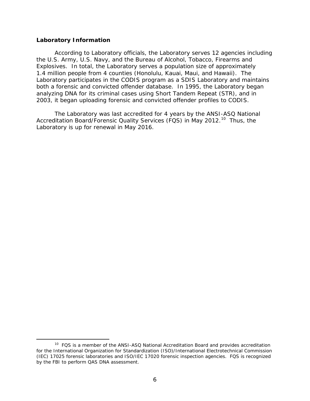#### <span id="page-10-0"></span>**Laboratory Information**

 $\overline{a}$ 

 1.4 million people from 4 counties (Honolulu, Kauai, Maui, and Hawaii). The both a forensic and convicted offender database. In 1995, the Laboratory began According to Laboratory officials, the Laboratory serves 12 agencies including the U.S. Army, U.S. Navy, and the Bureau of Alcohol, Tobacco, Firearms and Explosives. In total, the Laboratory serves a population size of approximately Laboratory participates in the CODIS program as a SDIS Laboratory and maintains analyzing DNA for its criminal cases using Short Tandem Repeat (STR), and in 2003, it began uploading forensic and convicted offender profiles to CODIS.

Accreditation Board/Forensic Quality Services (FQS) in May 2012.<sup>10</sup> Thus, the The Laboratory was last accredited for 4 years by the ANSI-ASQ National Laboratory is up for renewal in May 2016.

<span id="page-10-1"></span><sup>&</sup>lt;sup>10</sup> FQS is a member of the ANSI-ASQ National Accreditation Board and provides accreditation for the International Organization for Standardization (ISO)/International Electrotechnical Commission (IEC) 17025 forensic laboratories and ISO/IEC 17020 forensic inspection agencies. FQS is recognized by the FBI to perform QAS DNA assessment.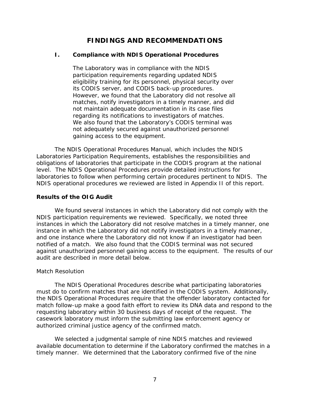## **FINDINGS AND RECOMMENDATIONS**

#### <span id="page-11-1"></span><span id="page-11-0"></span> $\mathbf{L}$ **I. Compliance with NDIS Operational Procedures**

regarding its notifications to investigators of matches. The Laboratory was in compliance with the NDIS participation requirements regarding updated NDIS eligibility training for its personnel, physical security over its CODIS server, and CODIS back-up procedures. However, we found that the Laboratory did not resolve all matches, notify investigators in a timely manner, and did not maintain adequate documentation in its case files We also found that the Laboratory's CODIS terminal was not adequately secured against unauthorized personnel gaining access to the equipment.

 laboratories to follow when performing certain procedures pertinent to NDIS. The The NDIS Operational Procedures Manual, which includes the NDIS Laboratories Participation Requirements, establishes the responsibilities and obligations of laboratories that participate in the CODIS program at the national level. The NDIS Operational Procedures provide detailed instructions for NDIS operational procedures we reviewed are listed in Appendix II of this report.

#### **Results of the OIG Audit**

 notified of a match. We also found that the CODIS terminal was not secured against unauthorized personnel gaining access to the equipment. The results of our We found several instances in which the Laboratory did not comply with the NDIS participation requirements we reviewed. Specifically, we noted three instances in which the Laboratory did not resolve matches in a timely manner, one instance in which the Laboratory did not notify investigators in a timely manner, and one instance where the Laboratory did not know if an investigator had been audit are described in more detail below.

#### *Match Resolution*

 must do to confirm matches that are identified in the CODIS system. Additionally, requesting laboratory within 30 business days of receipt of the request. The casework laboratory must inform the submitting law enforcement agency or The NDIS Operational Procedures describe what participating laboratories the NDIS Operational Procedures require that the offender laboratory contacted for match follow-up make a good faith effort to review its DNA data and respond to the authorized criminal justice agency of the confirmed match.

 timely manner. We determined that the Laboratory confirmed five of the nine We selected a judgmental sample of nine NDIS matches and reviewed available documentation to determine if the Laboratory confirmed the matches in a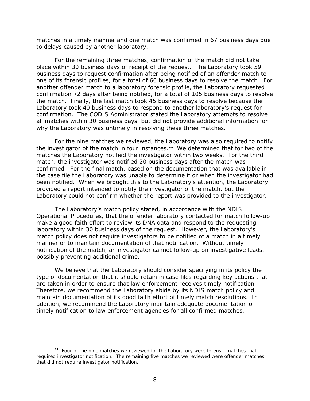matches in a timely manner and one match was confirmed in 67 business days due to delays caused by another laboratory.

 For the remaining three matches, confirmation of the match did not take place within 30 business days of receipt of the request. The Laboratory took 59 business days to request confirmation after being notified of an offender match to one of its forensic profiles, for a total of 66 business days to resolve the match. For Laboratory took 40 business days to respond to another laboratory's request for confirmation. The CODIS Administrator stated the Laboratory attempts to resolve another offender match to a laboratory forensic profile, the Laboratory requested confirmation 72 days after being notified, for a total of 105 business days to resolve the match. Finally, the last match took 45 business days to resolve because the all matches within 30 business days, but did not provide additional information for why the Laboratory was untimely in resolving these three matches.

the investigator of the match in four instances.<sup>[11](#page-12-0)</sup> We determined that for two of the matches the Laboratory notified the investigator within two weeks. For the third confirmed. For the final match, based on the documentation that was available in been notified. When we brought this to the Laboratory's attention, the Laboratory provided a report intended to notify the investigator of the match, but the For the nine matches we reviewed, the Laboratory was also required to notify match, the investigator was notified 20 business days after the match was the case file the Laboratory was unable to determine if or when the investigator had Laboratory could not confirm whether the report was provided to the investigator.

The Laboratory's match policy stated, in accordance with the NDIS Operational Procedures, that the offender laboratory contacted for match follow-up make a good faith effort to review its DNA data and respond to the requesting laboratory within 30 business days of the request. However, the Laboratory's match policy does not require investigators to be notified of a match in a timely manner or to maintain documentation of that notification. Without timely notification of the match, an investigator cannot follow-up on investigative leads, possibly preventing additional crime.

 We believe that the Laboratory should consider specifying in its policy the are taken in order to ensure that law enforcement receives timely notification. are taken in order to ensure that law enforcement receives timely notification.<br>Therefore, we recommend the Laboratory abide by its NDIS match policy and maintain documentation of its good faith effort of timely match resolutions. In type of documentation that it should retain in case files regarding key actions that addition, we recommend the Laboratory maintain adequate documentation of timely notification to law enforcement agencies for all confirmed matches.

 $\overline{a}$ 

<span id="page-12-0"></span> $11$  Four of the nine matches we reviewed for the Laboratory were forensic matches that required investigator notification. The remaining five matches we reviewed were offender matches that did not require investigator notification.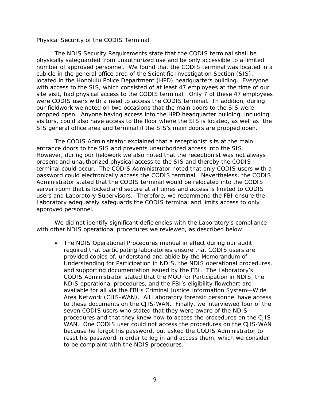#### *Physical Security of the CODIS Terminal*

 The NDIS Security Requirements state that the CODIS terminal shall be site visit, had physical access to the CODIS terminal. Only 7 of these 47 employees were CODIS users with a need to access the CODIS terminal. In addition, during propped open. Anyone having access into the HPD headquarter building, including visitors, could also have access to the floor where the SIS is located, as well as the SIS general office area and terminal if the SIS's main doors are propped open. physically safeguarded from unauthorized use and be only accessible to a limited number of approved personnel. We found that the CODIS terminal was located in a cubicle in the general office area of the Scientific Investigation Section (SIS), located in the Honolulu Police Department (HPD) headquarters building. Everyone with access to the SIS, which consisted of at least 47 employees at the time of our our fieldwork we noted on two occasions that the main doors to the SIS were

 server room that is locked and secure at all times and access is limited to CODIS users and Laboratory Supervisors. Therefore, we recommend the FBI ensure the Laboratory adequately safeguards the CODIS terminal and limits access to only The CODIS Administrator explained that a receptionist sits at the main entrance doors to the SIS and prevents unauthorized access into the SIS. However, during our fieldwork we also noted that the receptionist was not always present and unauthorized physical access to the SIS and thereby the CODIS terminal could occur. The CODIS Administrator noted that only CODIS users with a password could electronically access the CODIS terminal. Nevertheless, the CODIS Administrator stated that the CODIS terminal would be relocated into the CODIS approved personnel.

 We did not identify significant deficiencies with the Laboratory's compliance with other NDIS operational procedures we reviewed, as described below.

 required that participating laboratories ensure that CODIS users are NDIS operational procedures, and the FBI's eligibility flowchart are WAN. One CODIS user could not access the procedures on the CJIS-WAN • The NDIS Operational Procedures manual in effect during our audit provided copies of, understand and abide by the Memorandum of Understanding for Participation in NDIS, the NDIS operational procedures, and supporting documentation issued by the FBI. The Laboratory's CODIS Administrator stated that the MOU for Participation in NDIS, the available for all via the FBI's Criminal Justice Information System—Wide Area Network (CJIS-WAN). All Laboratory forensic personnel have access to these documents on the CJIS-WAN. Finally, we interviewed four of the seven CODIS users who stated that they were aware of the NDIS procedures and that they knew how to access the procedures on the CJISbecause he forgot his password, but asked the CODIS Administrator to reset his password in order to log in and access them, which we consider to be complaint with the NDIS procedures.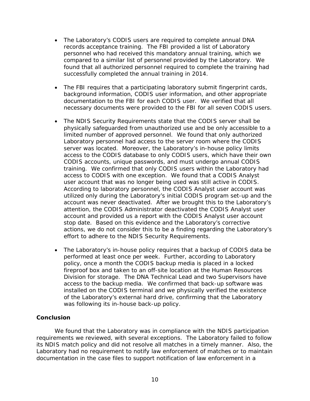- The Laboratory's CODIS users are required to complete annual DNA records acceptance training. The FBI provided a list of Laboratory personnel who had received this mandatory annual training, which we compared to a similar list of personnel provided by the Laboratory. We found that all authorized personnel required to complete the training had successfully completed the annual training in 2014.
- The FBI requires that a participating laboratory submit fingerprint cards, background information, CODIS user information, and other appropriate documentation to the FBI for each CODIS user. We verified that all necessary documents were provided to the FBI for all seven CODIS users.
- server was located. Moreover, the Laboratory's in-house policy limits user account that was no longer being used was still active in CODIS. • The NDIS Security Requirements state that the CODIS server shall be physically safeguarded from unauthorized use and be only accessible to a limited number of approved personnel. We found that only authorized Laboratory personnel had access to the server room where the CODIS access to the CODIS database to only CODIS users, which have their own CODIS accounts, unique passwords, and must undergo annual CODIS training. We confirmed that only CODIS users within the Laboratory had access to CODIS with one exception. We found that a CODIS Analyst According to laboratory personnel, the CODIS Analyst user account was utilized only during the Laboratory's initial CODIS program set-up and the account was never deactivated. After we brought this to the Laboratory's attention, the CODIS Administrator deactivated the CODIS Analyst user account and provided us a report with the CODIS Analyst user account stop date. Based on this evidence and the Laboratory's corrective actions, we do not consider this to be a finding regarding the Laboratory's effort to adhere to the NDIS Security Requirements.
- Division for storage. The DNA Technical Lead and two Supervisors have access to the backup media. We confirmed that back-up software was • The Laboratory's in-house policy requires that a backup of CODIS data be performed at least once per week. Further, according to Laboratory policy, once a month the CODIS backup media is placed in a locked fireproof box and taken to an off-site location at the Human Resources installed on the CODIS terminal and we physically verified the existence of the Laboratory's external hard drive, confirming that the Laboratory was following its in-house back-up policy.

#### **Conclusion**

 its NDIS match policy and did not resolve all matches in a timely manner. Also, the We found that the Laboratory was in compliance with the NDIS participation requirements we reviewed, with several exceptions. The Laboratory failed to follow Laboratory had no requirement to notify law enforcement of matches or to maintain documentation in the case files to support notification of law enforcement in a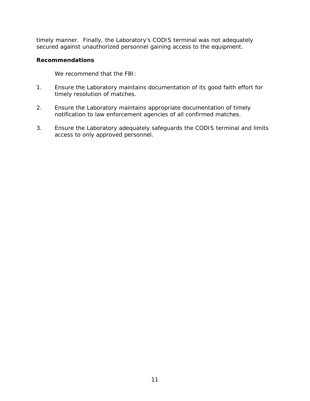timely manner. Finally, the Laboratory's CODIS terminal was not adequately secured against unauthorized personnel gaining access to the equipment.

#### **Recommendations**

We recommend that the FBI:

- 1. Ensure the Laboratory maintains documentation of its good faith effort for timely resolution of matches.
- 2. Ensure the Laboratory maintains appropriate documentation of timely notification to law enforcement agencies of all confirmed matches.
- 3. Ensure the Laboratory adequately safeguards the CODIS terminal and limits access to only approved personnel.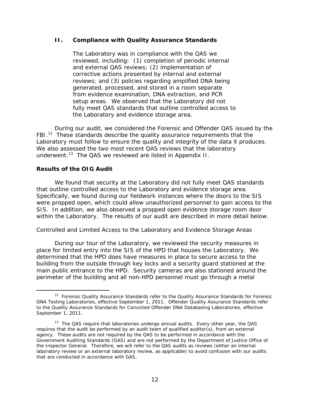#### <span id="page-16-0"></span>**II. Compliance with Quality Assurance Standards**

 reviewed, including: (1) completion of periodic internal The Laboratory was in compliance with the QAS we and external QAS reviews; (2) implementation of corrective actions presented by internal and external reviews; and (3) policies regarding amplified DNA being generated, processed, and stored in a room separate from evidence examination, DNA extraction, and PCR setup areas. We observed that the Laboratory did not fully meet QAS standards that outline controlled access to the Laboratory and evidence storage area.

FBI. $12$  These standards describe the quality assurance requirements that the Laboratory must follow to ensure the quality and integrity of the data it produces.<br>We also assessed the two most recent QAS reviews that the laboratory underwent.<sup>[13](#page-16-2)</sup> The QAS we reviewed are listed in Appendix II. During our audit, we considered the Forensic and Offender QAS issued by the

#### **Results of the OIG Audit**

 Specifically, we found during our fieldwork instances where the doors to the SIS were propped open, which could allow unauthorized personnel to gain access to the within the Laboratory. The results of our audit are described in more detail below. We found that security at the Laboratory did not fully meet QAS standards that outline controlled access to the Laboratory and evidence storage area. SIS. In addition, we also observed a propped open evidence storage room door

#### *Controlled and Limited Access to the Laboratory and Evidence Storage Areas*

 building from the outside through key locks and a security guard stationed at the During our tour of the Laboratory, we reviewed the security measures in place for limited entry into the SIS of the HPD that houses the Laboratory. We determined that the HPD does have measures in place to secure access to the main public entrance to the HPD. Security cameras are also stationed around the perimeter of the building and all non-HPD personnel must go through a metal

<span id="page-16-1"></span>l September 1, 2011. <sup>12</sup> Forensic Quality Assurance Standards refer to the Quality Assurance Standards for Forensic DNA Testing Laboratories, effective September 1, 2011. Offender Quality Assurance Standards refer to the Quality Assurance Standards for Convicted Offender DNA Databasing Laboratories, effective

<span id="page-16-2"></span><sup>&</sup>lt;sup>13</sup> The QAS require that laboratories undergo annual audits. Every other year, the QAS requires that the audit be performed by an audit team of qualified auditor(s), from an external agency. These audits are not required by the QAS to be performed in accordance with the *Government Auditing Standards* (GAS) and are not performed by the Department of Justice Office of the Inspector General. Therefore, we will refer to the QAS audits as reviews (either an internal laboratory review or an external laboratory review, as applicable) to avoid confusion with our audits that are conducted in accordance with GAS.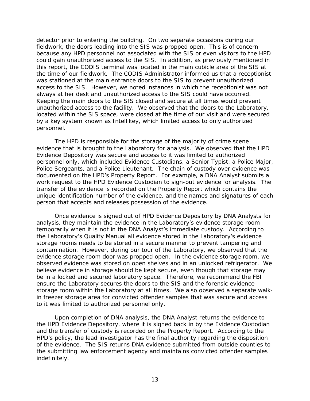detector prior to entering the building. On two separate occasions during our this report, the CODIS terminal was located in the main cubicle area of the SIS at unauthorized access to the facility. We observed that the doors to the Laboratory, fieldwork, the doors leading into the SIS was propped open. This is of concern because any HPD personnel not associated with the SIS or even visitors to the HPD could gain unauthorized access to the SIS. In addition, as previously mentioned in the time of our fieldwork. The CODIS Administrator informed us that a receptionist was stationed at the main entrance doors to the SIS to prevent unauthorized access to the SIS. However, we noted instances in which the receptionist was not always at her desk and unauthorized access to the SIS could have occurred. Keeping the main doors to the SIS closed and secure at all times would prevent located within the SIS space, were closed at the time of our visit and were secured by a key system known as Intellikey, which limited access to only authorized personnel.

 Evidence Depository was secure and access to it was limited to authorized Police Sergeants, and a Police Lieutenant. The chain of custody over evidence was documented on the HPD's Property Report. For example, a DNA Analyst submits a The HPD is responsible for the storage of the majority of crime scene evidence that is brought to the Laboratory for analysis. We observed that the HPD personnel only, which included Evidence Custodians, a Senior Typist, a Police Major, work request to the HPD Evidence Custodian to sign-out evidence for analysis. The transfer of the evidence is recorded on the Property Report which contains the unique identification number of the evidence, and the names and signatures of each person that accepts and releases possession of the evidence.

 Once evidence is signed out of HPD Evidence Depository by DNA Analysts for analysis, they maintain the evidence in the Laboratory's evidence storage room temporarily when it is not in the DNA Analyst's immediate custody. According to storage rooms needs to be stored in a secure manner to prevent tampering and contamination. However, during our tour of the Laboratory, we observed that the evidence storage room door was propped open. In the evidence storage room, we observed evidence was stored on open shelves and in an unlocked refrigerator. We be in a locked and secured laboratory space. Therefore, we recommend the FBI storage room within the Laboratory at all times. We also observed a separate walkthe Laboratory's Quality Manual all evidence stored in the Laboratory's evidence believe evidence in storage should be kept secure, even though that storage may ensure the Laboratory secures the doors to the SIS and the forensic evidence in freezer storage area for convicted offender samples that was secure and access to it was limited to authorized personnel only.

 the HPD Evidence Depository, where it is signed back in by the Evidence Custodian and the transfer of custody is recorded on the Property Report. According to the of the evidence. The SIS returns DNA evidence submitted from outside counties to the submitting law enforcement agency and maintains convicted offender samples Upon completion of DNA analysis, the DNA Analyst returns the evidence to HPD's policy, the lead investigator has the final authority regarding the disposition indefinitely.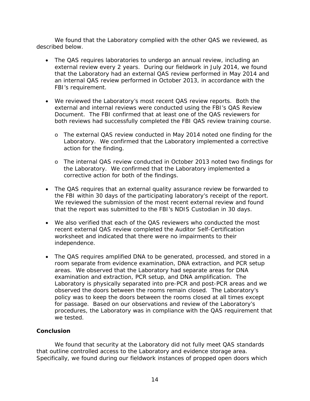We found that the Laboratory complied with the other QAS we reviewed, as described below.

- The QAS requires laboratories to undergo an annual review, including an external review every 2 years. During our fieldwork in July 2014, we found that the Laboratory had an external QAS review performed in May 2014 and an internal QAS review performed in October 2013, in accordance with the FBI's requirement.
- We reviewed the Laboratory's most recent QAS review reports. Both the external and internal reviews were conducted using the FBI's QAS Review Document. The FBI confirmed that at least one of the QAS reviewers for both reviews had successfully completed the FBI QAS review training course.
	- o The external QAS review conducted in May 2014 noted one finding for the Laboratory. We confirmed that the Laboratory implemented a corrective action for the finding.
	- the Laboratory. We confirmed that the Laboratory implemented a o The internal QAS review conducted in October 2013 noted two findings for corrective action for both of the findings.
- that the report was submitted to the FBI's NDIS Custodian in 30 days. • The QAS requires that an external quality assurance review be forwarded to the FBI within 30 days of the participating laboratory's receipt of the report. We reviewed the submission of the most recent external review and found
- We also verified that each of the QAS reviewers who conducted the most recent external QAS review completed the Auditor Self-Certification worksheet and indicated that there were no impairments to their independence.
- The QAS requires amplified DNA to be generated, processed, and stored in a examination and extraction, PCR setup, and DNA amplification. The for passage. Based on our observations and review of the Laboratory's room separate from evidence examination, DNA extraction, and PCR setup areas. We observed that the Laboratory had separate areas for DNA Laboratory is physically separated into pre-PCR and post-PCR areas and we observed the doors between the rooms remain closed. The Laboratory's policy was to keep the doors between the rooms closed at all times except procedures, the Laboratory was in compliance with the QAS requirement that we tested.

#### **Conclusion**

that outline controlled access to the Laboratory and evidence storage area. We found that security at the Laboratory did not fully meet QAS standards Specifically, we found during our fieldwork instances of propped open doors which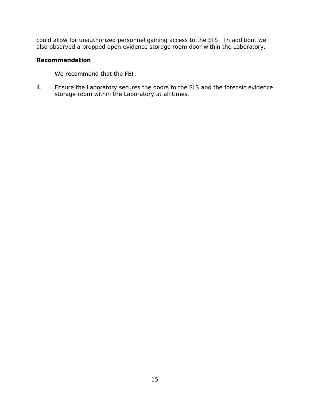could allow for unauthorized personnel gaining access to the SIS. In addition, we also observed a propped open evidence storage room door within the Laboratory.

#### **Recommendation**

We recommend that the FBI:

4. Ensure the Laboratory secures the doors to the SIS and the forensic evidence storage room within the Laboratory at all times.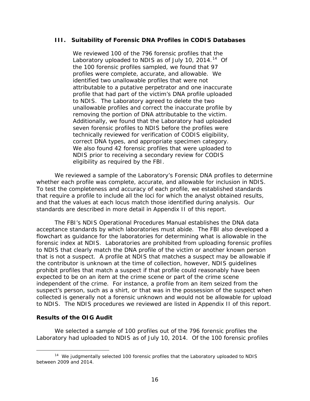#### <span id="page-20-0"></span>**III. Suitability of Forensic DNA Profiles in CODIS Databases**

Laboratory uploaded to NDIS as of July 10, 2014.<sup>14</sup> Of removing the portion of DNA attributable to the victim. seven forensic profiles to NDIS before the profiles were correct DNA types, and appropriate specimen category. We reviewed 100 of the 796 forensic profiles that the the 100 forensic profiles sampled, we found that 97 profiles were complete, accurate, and allowable. We identified two unallowable profiles that were not attributable to a putative perpetrator and one inaccurate profile that had part of the victim's DNA profile uploaded to NDIS. The Laboratory agreed to delete the two unallowable profiles and correct the inaccurate profile by Additionally, we found that the Laboratory had uploaded technically reviewed for verification of CODIS eligibility, We also found 42 forensic profiles that were uploaded to NDIS prior to receiving a secondary review for CODIS eligibility as required by the FBI.

whether each profile was complete, accurate, and allowable for inclusion in NDIS. that require a profile to include all the loci for which the analyst obtained results, We reviewed a sample of the Laboratory's Forensic DNA profiles to determine To test the completeness and accuracy of each profile, we established standards. and that the values at each locus match those identified during analysis. Our standards are described in more detail in Appendix II of this report.

 acceptance standards by which laboratories must abide. The FBI also developed a flowchart as guidance for the laboratories for determining what is allowable in the that is not a suspect. A profile at NDIS that matches a suspect may be allowable if to NDIS. The NDIS procedures we reviewed are listed in Appendix II of this report. The FBI's NDIS Operational Procedures Manual establishes the DNA data forensic index at NDIS. Laboratories are prohibited from uploading forensic profiles to NDIS that clearly match the DNA profile of the victim or another known person the contributor is unknown at the time of collection, however, NDIS guidelines prohibit profiles that match a suspect if that profile could reasonably have been expected to be on an item at the crime scene or part of the crime scene independent of the crime. For instance, a profile from an item seized from the suspect's person, such as a shirt, or that was in the possession of the suspect when collected is generally not a forensic unknown and would not be allowable for upload

#### **Results of the OIG Audit**

 Laboratory had uploaded to NDIS as of July 10, 2014. Of the 100 forensic profiles We selected a sample of 100 profiles out of the 796 forensic profiles the

<span id="page-20-1"></span> $\overline{a}$ <sup>14</sup> We judgmentally selected 100 forensic profiles that the Laboratory uploaded to NDIS between 2009 and 2014.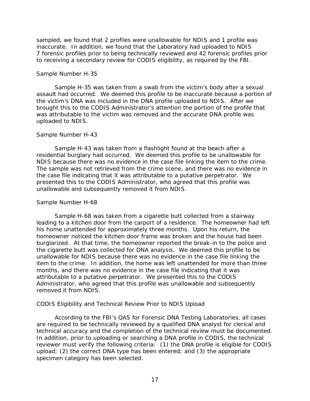sampled, we found that 2 profiles were unallowable for NDIS and 1 profile was inaccurate. In addition, we found that the Laboratory had uploaded to NDIS 7 forensic profiles prior to being technically reviewed and 42 forensic profiles prior to receiving a secondary review for CODIS eligibility, as required by the FBI.

#### *Sample Number H-35*

 the victim's DNA was included in the DNA profile uploaded to NDIS. After we Sample H-35 was taken from a swab from the victim's body after a sexual assault had occurred. We deemed this profile to be inaccurate because a portion of brought this to the CODIS Administrator's attention the portion of the profile that was attributable to the victim was removed and the accurate DNA profile was uploaded to NDIS.

#### *Sample Number H-43*

 residential burglary had occurred. We deemed this profile to be unallowable for NDIS because there was no evidence in the case file linking the item to the crime. NDIS because there was no evidence in the case file linking the item to the crime.<br>The sample was not retrieved from the crime scene, and there was no evidence in the case file indicating that it was attributable to a putative perpetrator. We Sample H-43 was taken from a flashlight found at the beach after a presented this to the CODIS Administrator, who agreed that this profile was unallowable and subsequently removed it from NDIS.

#### *Sample Number H-68*

 Sample H-68 was taken from a cigarette butt collected from a stairway leading to a kitchen door from the carport of a residence. The homeowner had left burglarized. At that time, the homeowner reported the break-in to the police and the cigarette butt was collected for DNA analysis. We deemed this profile to be item to the crime. In addition, the home was left unattended for more than three attributable to a putative perpetrator. We presented this to the CODIS his home unattended for approximately three months. Upon his return, the homeowner noticed the kitchen door frame was broken and the house had been unallowable for NDIS because there was no evidence in the case file linking the months, and there was no evidence in the case file indicating that it was Administrator, who agreed that this profile was unallowable and subsequently removed it from NDIS.

#### *CODIS Eligibility and Technical Review Prior to NDIS Upload*

 In addition, prior to uploading or searching a DNA profile in CODIS, the technical upload; (2) the correct DNA type has been entered; and (3) the appropriate According to the FBI's QAS for Forensic DNA Testing Laboratories, all cases are required to be technically reviewed by a qualified DNA analyst for clerical and technical accuracy and the completion of the technical review must be documented. reviewer must verify the following criteria: (1) the DNA profile is eligible for CODIS specimen category has been selected.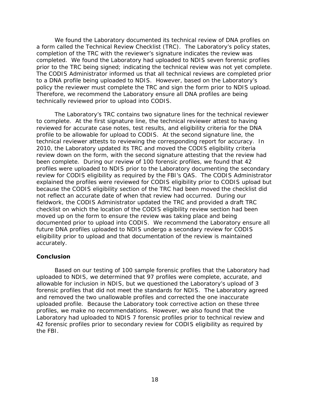a form called the Technical Review Checklist (TRC). The Laboratory's policy states, completed. We found the Laboratory had uploaded to NDIS seven forensic profiles prior to the TRC being signed; indicating the technical review was not yet complete. policy the reviewer must complete the TRC and sign the form prior to NDIS upload. policy the reviewer must complete the TRC and sign the form prior to NDIS upload.<br>Therefore, we recommend the Laboratory ensure all DNA profiles are being We found the Laboratory documented its technical review of DNA profiles on completion of the TRC with the reviewer's signature indicates the review was The CODIS Administrator informed us that all technical reviews are completed prior to a DNA profile being uploaded to NDIS. However, based on the Laboratory's technically reviewed prior to upload into CODIS.

 to complete. At the first signature line, the technical reviewer attest to having technical reviewer attests to reviewing the corresponding report for accuracy. In 2010, the Laboratory updated its TRC and moved the CODIS eligibility criteria review down on the form, with the second signature attesting that the review had been complete. During our review of 100 forensic profiles, we found that 42 profiles were uploaded to NDIS prior to the Laboratory documenting the secondary because the CODIS eligibility section of the TRC had been moved the checklist did not reflect an accurate date of when that review had occurred. During our The Laboratory's TRC contains two signature lines for the technical reviewer reviewed for accurate case notes, test results, and eligibility criteria for the DNA profile to be allowable for upload to CODIS. At the second signature line, the review for CODIS eligibility as required by the FBI's QAS. The CODIS Administrator explained the profiles were reviewed for CODIS eligibility prior to CODIS upload but fieldwork, the CODIS Administrator updated the TRC and provided a draft TRC checklist on which the location of the CODIS eligibility review section had been moved up on the form to ensure the review was taking place and being documented prior to upload into CODIS. We recommend the Laboratory ensure all future DNA profiles uploaded to NDIS undergo a secondary review for CODIS eligibility prior to upload and that documentation of the review is maintained accurately.

#### **Conclusion**

 allowable for inclusion in NDIS, but we questioned the Laboratory's upload of 3 uploaded profile. Because the Laboratory took corrective action on these three Based on our testing of 100 sample forensic profiles that the Laboratory had uploaded to NDIS, we determined that 97 profiles were complete, accurate, and forensic profiles that did not meet the standards for NDIS. The Laboratory agreed and removed the two unallowable profiles and corrected the one inaccurate profiles, we make no recommendations. However, we also found that the Laboratory had uploaded to NDIS 7 forensic profiles prior to technical review and 42 forensic profiles prior to secondary review for CODIS eligibility as required by the FBI.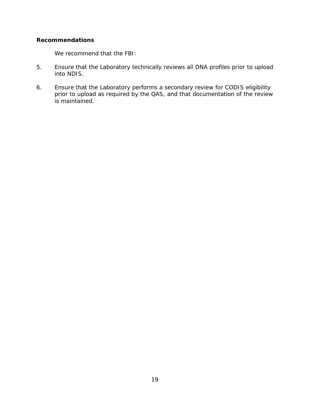#### **Recommendations**

We recommend that the FBI:

- 5. Ensure that the Laboratory technically reviews all DNA profiles prior to upload into NDIS.
- 6. Ensure that the Laboratory performs a secondary review for CODIS eligibility prior to upload as required by the QAS, and that documentation of the review is maintained.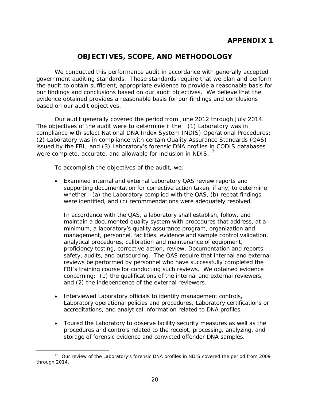## **APPENDIX 1**

## **OBJECTIVES, SCOPE, AND METHODOLOGY**

<span id="page-24-1"></span><span id="page-24-0"></span>We conducted this performance audit in accordance with generally accepted government auditing standards. Those standards require that we plan and perform the audit to obtain sufficient, appropriate evidence to provide a reasonable basis for our findings and conclusions based on our audit objectives. We believe that the evidence obtained provides a reasonable basis for our findings and conclusions based on our audit objectives.

were complete, accurate, and allowable for inclusion in NDIS.<sup>13</sup> Our audit generally covered the period from June 2012 through July 2014. The objectives of the audit were to determine if the: (1) Laboratory was in compliance with select National DNA Index System (NDIS) Operational Procedures; (2) Laboratory was in compliance with certain Quality Assurance Standards (QAS) issued by the FBI; and (3) Laboratory's forensic DNA profiles in CODIS databases

To accomplish the objectives of the audit, we:

 whether: (a) the Laboratory complied with the QAS, (b) repeat findings were identified, and (c) recommendations were adequately resolved. • Examined internal and external Laboratory QAS review reports and supporting documentation for corrective action taken, if any, to determine

 minimum, a laboratory's quality assurance program, organization and safety, audits, and outsourcing. The QAS require that internal and external FBI's training course for conducting such reviews. We obtained evidence concerning: (1) the qualifications of the internal and external reviewers, In accordance with the QAS, a laboratory shall establish, follow, and maintain a documented quality system with procedures that address, at a management, personnel, facilities, evidence and sample control validation, analytical procedures, calibration and maintenance of equipment, proficiency testing, corrective action, review, Documentation and reports, reviews be performed by personnel who have successfully completed the and (2) the independence of the external reviewers.

- Interviewed Laboratory officials to identify management controls, Laboratory operational policies and procedures, Laboratory certifications or accreditations, and analytical information related to DNA profiles.
- Toured the Laboratory to observe facility security measures as well as the procedures and controls related to the receipt, processing, analyzing, and storage of forensic evidence and convicted offender DNA samples.

<span id="page-24-2"></span> $\overline{a}$ <sup>15</sup> Our review of the Laboratory's forensic DNA profiles in NDIS covered the period from 2009 through 2014.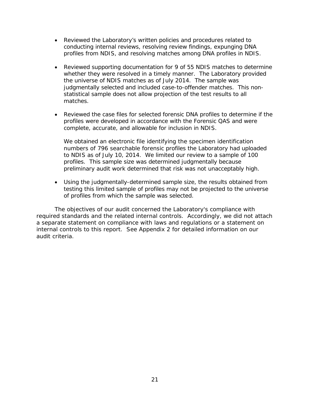- Reviewed the Laboratory's written policies and procedures related to conducting internal reviews, resolving review findings, expunging DNA profiles from NDIS, and resolving matches among DNA profiles in NDIS.
- whether they were resolved in a timely manner. The Laboratory provided the universe of NDIS matches as of July 2014. The sample was judgmentally selected and included case-to-offender matches. This non- statistical sample does not allow projection of the test results to all • Reviewed supporting documentation for 9 of 55 NDIS matches to determine matches.
- profiles were developed in accordance with the Forensic QAS and were • Reviewed the case files for selected forensic DNA profiles to determine if the complete, accurate, and allowable for inclusion in NDIS.

 We obtained an electronic file identifying the specimen identification to NDIS as of July 10, 2014. We limited our review to a sample of 100 numbers of 796 searchable forensic profiles the Laboratory had uploaded profiles. This sample size was determined judgmentally because preliminary audit work determined that risk was not unacceptably high.

• Using the judgmentally-determined sample size, the results obtained from testing this limited sample of profiles may not be projected to the universe of profiles from which the sample was selected.

 required standards and the related internal controls. Accordingly, we did not attach internal controls to this report. See Appendix 2 for detailed information on our The objectives of our audit concerned the Laboratory's compliance with a separate statement on compliance with laws and regulations or a statement on audit criteria.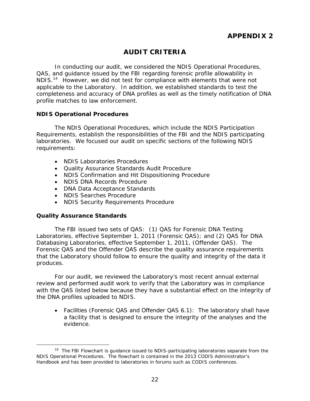## **AUDIT CRITERIA**

<span id="page-26-1"></span><span id="page-26-0"></span> In conducting our audit, we considered the NDIS Operational Procedures, QAS, and guidance issued by the FBI regarding forensic profile allowability in<br>NDIS <sup>14</sup> However, we did not test for compliance with elements that were no NDIS.<sup>14</sup>However, we did not test for compliance with elements that were not applicable to the Laboratory. In addition, we established standards to test the completeness and accuracy of DNA profiles as well as the timely notification of DNA profile matches to law enforcement.

#### <span id="page-26-2"></span>**NDIS Operational Procedures**

The NDIS Operational Procedures, which include the NDIS Participation Requirements, establish the responsibilities of the FBI and the NDIS participating laboratories. We focused our audit on specific sections of the following NDIS requirements:

- NDIS Laboratories Procedures
- • Quality Assurance Standards Audit Procedure
- NDIS Confirmation and Hit Dispositioning Procedure
- NDIS DNA Records Procedure
- DNA Data Acceptance Standards
- NDIS Searches Procedure
- NDIS Security Requirements Procedure

#### <span id="page-26-3"></span>**Quality Assurance Standards**

 Databasing Laboratories, effective September 1, 2011, (Offender QAS). The The FBI issued two sets of QAS: (1) QAS for Forensic DNA Testing Laboratories, effective September 1, 2011 (Forensic QAS); and (2) QAS for DNA Forensic QAS and the Offender QAS describe the quality assurance requirements that the Laboratory should follow to ensure the quality and integrity of the data it produces.

 For our audit, we reviewed the Laboratory's most recent annual external review and performed audit work to verify that the Laboratory was in compliance with the QAS listed below because they have a substantial effect on the integrity of the DNA profiles uploaded to NDIS.

• Facilities (Forensic QAS and Offender QAS 6.1): The laboratory shall have a facility that is designed to ensure the integrity of the analyses and the evidence.

<span id="page-26-4"></span> $\overline{a}$ <sup>16</sup> The FBI Flowchart is guidance issued to NDIS-participating laboratories separate from the NDIS Operational Procedures. The flowchart is contained in the 2013 CODIS Administrator's Handbook and has been provided to laboratories in forums such as CODIS conferences.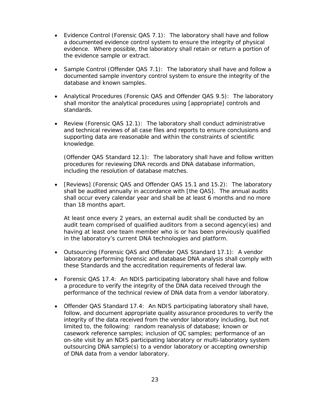- Evidence Control (Forensic QAS 7.1): The laboratory shall have and follow a documented evidence control system to ensure the integrity of physical evidence. Where possible, the laboratory shall retain or return a portion of the evidence sample or extract.
- Sample Control (Offender QAS 7.1): The laboratory shall have and follow a database and known samples. documented sample inventory control system to ensure the integrity of the
- Analytical Procedures (Forensic QAS and Offender QAS 9.5): The laboratory shall monitor the analytical procedures using [appropriate] controls and standards.
- Review (Forensic QAS 12.1): The laboratory shall conduct administrative and technical reviews of all case files and reports to ensure conclusions and supporting data are reasonable and within the constraints of scientific knowledge.

 (Offender QAS Standard 12.1): The laboratory shall have and follow written procedures for reviewing DNA records and DNA database information, including the resolution of database matches.

• [Reviews] (Forensic QAS and Offender QAS 15.1 and 15.2): The laboratory shall be audited annually in accordance with [the QAS]. The annual audits shall occur every calendar year and shall be at least 6 months and no more than 18 months apart.

At least once every 2 years, an external audit shall be conducted by an audit team comprised of qualified auditors from a second agency(ies) and having at least one team member who is or has been previously qualified in the laboratory's current DNA technologies and platform.

- Outsourcing (Forensic QAS and Offender QAS Standard 17.1): A vendor these Standards and the accreditation requirements of federal law. laboratory performing forensic and database DNA analysis shall comply with
- performance of the technical review of DNA data from a vendor laboratory. • Forensic QAS 17.4: An NDIS participating laboratory shall have and follow a procedure to verify the integrity of the DNA data received through the
- casework reference samples; inclusion of QC samples; performance of an • Offender QAS Standard 17.4: An NDIS participating laboratory shall have, follow, and document appropriate quality assurance procedures to verify the integrity of the data received from the vendor laboratory including, but not limited to, the following: random reanalysis of database; known or on-site visit by an NDIS participating laboratory or multi-laboratory system outsourcing DNA sample(s) to a vendor laboratory or accepting ownership of DNA data from a vendor laboratory.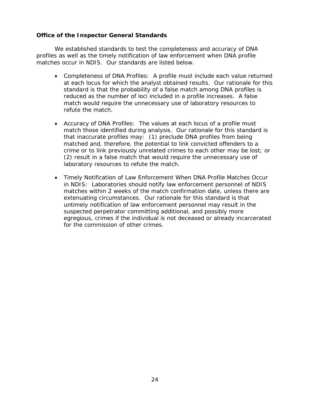#### <span id="page-28-0"></span>**Office of the Inspector General Standards**

We established standards to test the completeness and accuracy of DNA profiles as well as the timely notification of law enforcement when DNA profile matches occur in NDIS. Our standards are listed below.

- standard is that the probability of a false match among DNA profiles is • Completeness of DNA Profiles: A profile must include each value returned at each locus for which the analyst obtained results. Our rationale for this reduced as the number of loci included in a profile increases. A false match would require the unnecessary use of laboratory resources to refute the match.
- Accuracy of DNA Profiles: The values at each locus of a profile must match those identified during analysis. Our rationale for this standard is that inaccurate profiles may: (1) preclude DNA profiles from being matched and, therefore, the potential to link convicted offenders to a crime or to link previously unrelated crimes to each other may be lost; or (2) result in a false match that would require the unnecessary use of laboratory resources to refute the match.
- in NDIS: Laboratories should notify law enforcement personnel of NDIS suspected perpetrator committing additional, and possibly more • Timely Notification of Law Enforcement When DNA Profile Matches Occur matches within 2 weeks of the match confirmation date, unless there are extenuating circumstances. Our rationale for this standard is that untimely notification of law enforcement personnel may result in the egregious, crimes if the individual is not deceased or already incarcerated for the commission of other crimes.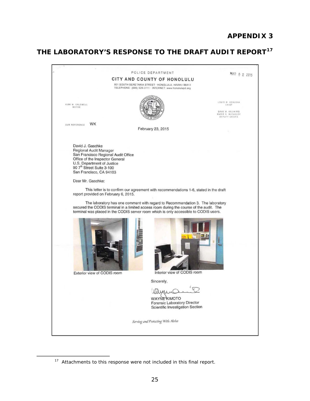## **APPENDIX 3**

## <span id="page-29-0"></span>**THE LABORATORY'S RESPONSE TO THE DRAFT AUDIT REPORT[17](#page-29-2)**



<sup>&</sup>lt;sup>17</sup> Attachments to this response were not included in this final report.

<span id="page-29-2"></span><span id="page-29-1"></span>-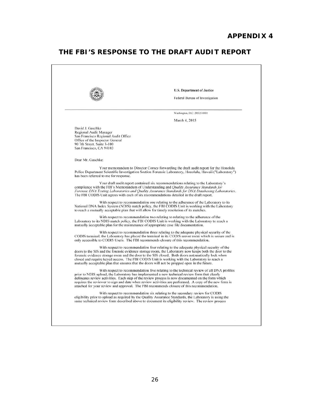## **APPENDIX 4**

## <span id="page-30-0"></span>**THE FBI'S RESPONSE TO THE DRAFT AUDIT REPORT**

<span id="page-30-1"></span>

|                                                                                                                                                                               | U.S. Department of Justice                                                                                                                                                                                                                                                                                                                                                                                                                                                                            |  |
|-------------------------------------------------------------------------------------------------------------------------------------------------------------------------------|-------------------------------------------------------------------------------------------------------------------------------------------------------------------------------------------------------------------------------------------------------------------------------------------------------------------------------------------------------------------------------------------------------------------------------------------------------------------------------------------------------|--|
|                                                                                                                                                                               | Federal Bureau of Investigation                                                                                                                                                                                                                                                                                                                                                                                                                                                                       |  |
|                                                                                                                                                                               | Washington, D.C. 20535-0001                                                                                                                                                                                                                                                                                                                                                                                                                                                                           |  |
|                                                                                                                                                                               | March 4, 2015                                                                                                                                                                                                                                                                                                                                                                                                                                                                                         |  |
| David J. Gaschke<br>Regional Audit Manager<br>San Francisco Regional Audit Office<br>Office of the Inspector General<br>90 7th Street, Suite 3-100<br>San Francisco, CA 94103 |                                                                                                                                                                                                                                                                                                                                                                                                                                                                                                       |  |
| Dear Mr. Gaschke:                                                                                                                                                             |                                                                                                                                                                                                                                                                                                                                                                                                                                                                                                       |  |
| has been referred to me for response.                                                                                                                                         | Your memorandum to Director Comey forwarding the draft audit report for the Honolulu<br>Police Department Scientific Investigation Section Forensic Laboratory, Honolulu, Hawaii ("Laboratory")                                                                                                                                                                                                                                                                                                       |  |
|                                                                                                                                                                               | Your draft audit report contained six recommendations relating to the Laboratory's<br>compliance with the FBI's Memorandum of Understanding and <i>Quality Assurance Standards for</i><br>Forensic DNA Testing Laboratories and Quality Assurance Standards for DNA Databasing Laboratories.<br>The FBI CODIS Unit agrees with each of six recommendations detailed in the draft report.                                                                                                              |  |
| to reach a mutually acceptable plan that will allow for timely resolution of its matches.                                                                                     | With respect to recommendation one relating to the adherence of the Laboratory to its<br>National DNA Index System (NDIS) match policy, the FBI CODIS Unit is working with the Laboratory                                                                                                                                                                                                                                                                                                             |  |
| mutually acceptable plan for the maintenance of appropriate case file documentation.                                                                                          | With respect to recommendation two relating to relating to the adherence of the<br>Laboratory to its NDIS match policy, the FBI CODIS Unit is working with the Laboratory to reach a                                                                                                                                                                                                                                                                                                                  |  |
|                                                                                                                                                                               | With respect to recommendation three relating to the adequate physical security of the<br>CODIS terminal, the Laboratory has placed the terminal in its CODIS server room which is secure and is<br>only accessible to CODIS Users. The FBI recommends closure of this recommendation.                                                                                                                                                                                                                |  |
|                                                                                                                                                                               | With respect to recommendation four relating to the adequate physical security of the<br>doors to the SIS and the forensic evidence storage room, the Laboratory now keeps both the door to the<br>forensic evidence storage room and the door to the SIS closed. Both doors automatically lock when<br>closed and require keyed access. The FBI CODIS Unit is working with the Laboratory to reach a<br>mutually acceptable plan that ensures that the doors will not be propped open in the future. |  |
|                                                                                                                                                                               | With respect to recommendation five relating to the technical review of all DNA profiles<br>prior to NDIS upload, the Laboratory has implemented a new technical review form that clearly<br>delineates review activities. Each step of the review process is now documented on the form which<br>requires the reviewer to sign and date when review activities are performed. A copy of the new form is<br>attached for your review and approval. The FBI recommends closure of this recommendation. |  |
|                                                                                                                                                                               | With respect to recommendation six relating to the secondary review for CODIS<br>eligibility prior to upload as required by the Quality Assurance Standards, the Laboratory is using the<br>same technical review form described above to document its eligibility review. The review process                                                                                                                                                                                                         |  |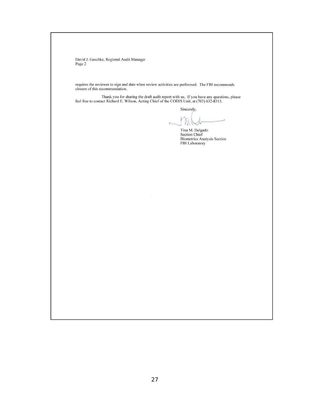David J. Gaschke, Regional Audit Manager Page 2

requires the reviewer to sign and date when review activities are performed. The FBI recommends<br>closure of this recommendation.

Thank you for sharing the draft audit report with us. If you have any questions, please feel free to contact Richard E. Wilson, Acting Chief of the CODIS Unit, at (703) 632-8315.

Sincerely,

 $\frac{1}{2}$  $=$   $\mathbb{N}$ 

Tina M. Delgado Section Chief Biometrics Analysis Section FBI Laboratory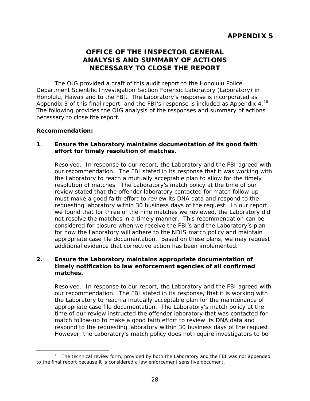## **OFFICE OF THE INSPECTOR GENERAL ANALYSIS AND SUMMARY OF ACTIONS NECESSARY TO CLOSE THE REPORT**

<span id="page-32-1"></span><span id="page-32-0"></span>Appendix 3 of this final report, and the FBI's response is included as Appendix 4.<sup>18</sup> The OIG provided a draft of this audit report to the Honolulu Police Department Scientific Investigation Section Forensic Laboratory (Laboratory) in Honolulu, Hawaii and to the FBI. The Laboratory's response is incorporated as The following provides the OIG analysis of the responses and summary of actions necessary to close the report.

#### **Recommendation:**

#### **1**. **Ensure the Laboratory maintains documentation of its good faith effort for timely resolution of matches.**

Resolved. In response to our report, the Laboratory and the FBI agreed with our recommendation. The FBI stated in its response that it was working with resolution of matches. The Laboratory's match policy at the time of our requesting laboratory within 30 business days of the request. In our report, not resolve the matches in a timely manner. This recommendation can be the Laboratory to reach a mutually acceptable plan to allow for the timely review stated that the offender laboratory contacted for match follow-up must make a good faith effort to review its DNA data and respond to the we found that for three of the nine matches we reviewed, the Laboratory did considered for closure when we receive the FBI's and the Laboratory's plan for how the Laboratory will adhere to the NDIS match policy and maintain appropriate case file documentation. Based on these plans, we may request additional evidence that corrective action has been implemented.

#### **2. Ensure the Laboratory maintains appropriate documentation of timely notification to law enforcement agencies of all confirmed matches.**

Resolved. In response to our report, the Laboratory and the FBI agreed with our recommendation. The FBI stated in its response, that it is working with appropriate case file documentation. The Laboratory's match policy at the time of our review instructed the offender laboratory that was contacted for the Laboratory to reach a mutually acceptable plan for the maintenance of match follow-up to make a good faith effort to review its DNA data and respond to the requesting laboratory within 30 business days of the request. However, the Laboratory's match policy does not require investigators to be

<span id="page-32-2"></span> $\overline{a}$  $18$  The technical review form, provided by both the Laboratory and the FBI was not appended to the final report because it is considered a law enforcement sensitive document.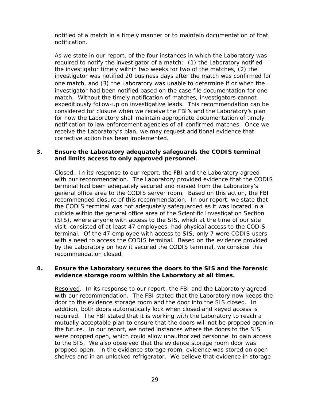notified of a match in a timely manner or to maintain documentation of that notification.

 As we state in our report, of the four instances in which the Laboratory was expeditiously follow-up on investigative leads. This recommendation can be notification to law enforcement agencies of all confirmed matches. Once we required to notify the investigator of a match: (1) the Laboratory notified the investigator timely within two weeks for two of the matches, (2) the investigator was notified 20 business days after the match was confirmed for one match, and (3) the Laboratory was unable to determine if or when the investigator had been notified based on the case file documentation for one match. Without the timely notification of matches, investigators cannot considered for closure when we receive the FBI's and the Laboratory's plan for how the Laboratory shall maintain appropriate documentation of timely receive the Laboratory's plan, we may request additional evidence that corrective action has been implemented.

#### **3. Ensure the Laboratory adequately safeguards the CODIS terminal and limits access to only approved personnel**.

Closed. In its response to our report, the FBI and the Laboratory agreed general office area to the CODIS server room. Based on this action, the FBI recommended closure of this recommendation. In our report, we state that the CODIS terminal was not adequately safeguarded as it was located in a terminal. Of the 47 employee with access to SIS, only 7 were CODIS users with a need to access the CODIS terminal. Based on the evidence provided with our recommendation. The Laboratory provided evidence that the CODIS terminal had been adequately secured and moved from the Laboratory's cubicle within the general office area of the Scientific Investigation Section (SIS), where anyone with access to the SIS, which at the time of our site visit, consisted of at least 47 employees, had physical access to the CODIS by the Laboratory on how it secured the CODIS terminal, we consider this recommendation closed.

#### **4. Ensure the Laboratory secures the doors to the SIS and the forensic evidence storage room within the Laboratory at all times.**

Resolved. In its response to our report, the FBI and the Laboratory agreed with our recommendation. The FBI stated that the Laboratory now keeps the door to the evidence storage room and the door into the SIS closed. In required. The FBI stated that it is working with the Laboratory to reach a the future. In our report, we noted instances where the doors to the SIS propped open. In the evidence storage room, evidence was stored on open addition, both doors automatically lock when closed and keyed access is mutually acceptable plan to ensure that the doors will not be propped open in were propped open, which could allow unauthorized personnel to gain access to the SIS. We also observed that the evidence storage room door was shelves and in an unlocked refrigerator. We believe that evidence in storage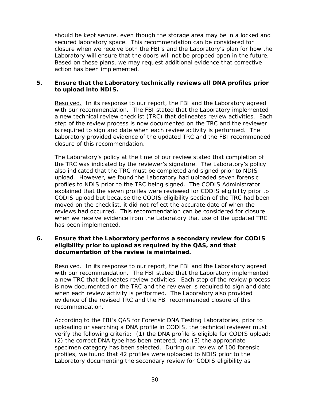secured laboratory space. This recommendation can be considered for should be kept secure, even though the storage area may be in a locked and closure when we receive both the FBI's and the Laboratory's plan for how the Laboratory will ensure that the doors will not be propped open in the future. Based on these plans, we may request additional evidence that corrective action has been implemented.

#### **5. Ensure that the Laboratory technically reviews all DNA profiles prior to upload into NDIS.**

Resolved. In its response to our report, the FBI and the Laboratory agreed with our recommendation. The FBI stated that the Laboratory implemented a new technical review checklist (TRC) that delineates review activities. Each is required to sign and date when each review activity is performed. The step of the review process is now documented on the TRC and the reviewer Laboratory provided evidence of the updated TRC and the FBI recommended closure of this recommendation.

 the TRC was indicated by the reviewer's signature. The Laboratory's policy upload. However, we found the Laboratory had uploaded seven forensic profiles to NDIS prior to the TRC being signed. The CODIS Administrator reviews had occurred. This recommendation can be considered for closure when we receive evidence from the Laboratory that use of the updated TRC The Laboratory's policy at the time of our review stated that completion of also indicated that the TRC must be completed and signed prior to NDIS explained that the seven profiles were reviewed for CODIS eligibility prior to CODIS upload but because the CODIS eligibility section of the TRC had been moved on the checklist, it did not reflect the accurate date of when the has been implemented.

#### **6. Ensure that the Laboratory performs a secondary review for CODIS eligibility prior to upload as required by the QAS, and that documentation of the review is maintained.**

Resolved. In its response to our report, the FBI and the Laboratory agreed with our recommendation. The FBI stated that the Laboratory implemented when each review activity is performed. The Laboratory also provided a new TRC that delineates review activities. Each step of the review process is now documented on the TRC and the reviewer is required to sign and date evidence of the revised TRC and the FBI recommended closure of this recommendation.

 uploading or searching a DNA profile in CODIS, the technical reviewer must specimen category has been selected. During our review of 100 forensic profiles, we found that 42 profiles were uploaded to NDIS prior to the According to the FBI's QAS for Forensic DNA Testing Laboratories, prior to verify the following criteria: (1) the DNA profile is eligible for CODIS upload; (2) the correct DNA type has been entered; and (3) the appropriate Laboratory documenting the secondary review for CODIS eligibility as